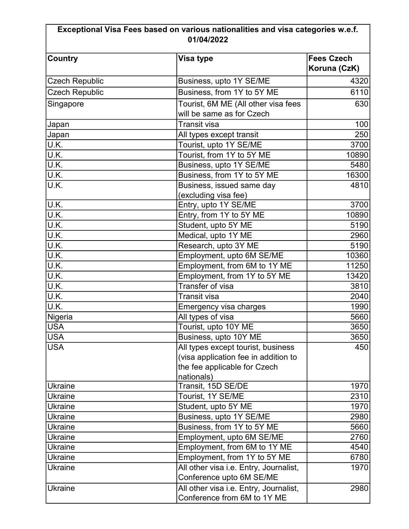## Exceptional Visa Fees based on various nationalities and visa categories w.e.f. 01/04/2022

| <b>Country</b>        | Visa type                              | <b>Fees Czech</b><br>Koruna (CzK) |
|-----------------------|----------------------------------------|-----------------------------------|
| <b>Czech Republic</b> | Business, upto 1Y SE/ME                | 4320                              |
| <b>Czech Republic</b> | Business, from 1Y to 5Y ME             | 6110                              |
| Singapore             | Tourist, 6M ME (All other visa fees    | 630                               |
|                       | will be same as for Czech              |                                   |
| Japan                 | <b>Transit visa</b>                    | 100                               |
| Japan                 | All types except transit               | 250                               |
| U.K.                  | Tourist, upto 1Y SE/ME                 | 3700                              |
| U.K.                  | Tourist, from 1Y to 5Y ME              | 10890                             |
| U.K.                  | Business, upto 1Y SE/ME                | 5480                              |
| U.K.                  | Business, from 1Y to 5Y ME             | 16300                             |
| U.K.                  | Business, issued same day              | 4810                              |
|                       | (excluding visa fee)                   |                                   |
| U.K.                  | Entry, upto 1Y SE/ME                   | 3700                              |
| U.K.                  | Entry, from 1Y to 5Y ME                | 10890                             |
| U.K.                  | Student, upto 5Y ME                    | 5190                              |
| U.K.                  | Medical, upto 1Y ME                    | 2960                              |
| U.K.                  | Research, upto 3Y ME                   | 5190                              |
| U.K.                  | Employment, upto 6M SE/ME              | 10360                             |
| U.K.                  | Employment, from 6M to 1Y ME           | 11250                             |
| U.K.                  | Employment, from 1Y to 5Y ME           | 13420                             |
| U.K.                  | Transfer of visa                       | 3810                              |
| U.K.                  | <b>Transit visa</b>                    | 2040                              |
| U.K.                  | Emergency visa charges                 | 1990                              |
| Nigeria               | All types of visa                      | 5660                              |
| <b>USA</b>            | Tourist, upto 10Y ME                   | 3650                              |
| <b>USA</b>            | Business, upto 10Y ME                  | 3650                              |
| USA                   | All types except tourist, business     | 450                               |
|                       | (visa application fee in addition to   |                                   |
|                       | the fee applicable for Czech           |                                   |
|                       | nationals)                             |                                   |
| <b>Ukraine</b>        | Transit, 15D SE/DE                     | 1970                              |
| <b>Ukraine</b>        | Tourist, 1Y SE/ME                      | 2310                              |
| <b>Ukraine</b>        | Student, upto 5Y ME                    | 1970                              |
| <b>Ukraine</b>        | Business, upto 1Y SE/ME                | 2980                              |
| <b>Ukraine</b>        | Business, from 1Y to 5Y ME             | 5660                              |
| <b>Ukraine</b>        | Employment, upto 6M SE/ME              | 2760                              |
| <b>Ukraine</b>        | Employment, from 6M to 1Y ME           | 4540                              |
| <b>Ukraine</b>        | Employment, from 1Y to 5Y ME           | 6780                              |
| <b>Ukraine</b>        | All other visa i.e. Entry, Journalist, | 1970                              |
|                       | Conference upto 6M SE/ME               |                                   |
| <b>Ukraine</b>        | All other visa i.e. Entry, Journalist, | 2980                              |
|                       | Conference from 6M to 1Y ME            |                                   |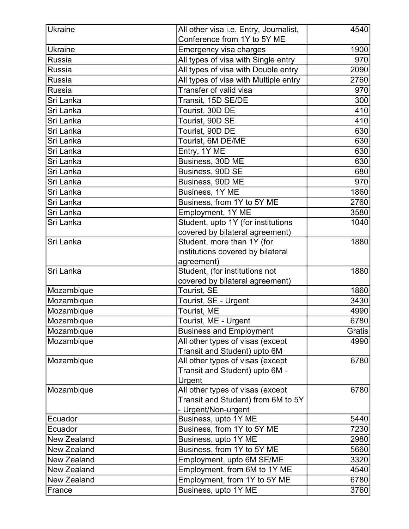| <b>Ukraine</b>                | All other visa i.e. Entry, Journalist, | 4540   |
|-------------------------------|----------------------------------------|--------|
|                               | Conference from 1Y to 5Y ME            |        |
| <b>Ukraine</b>                | Emergency visa charges                 | 1900   |
| Russia                        | All types of visa with Single entry    | 970    |
| <b>Russia</b>                 | All types of visa with Double entry    | 2090   |
| Russia                        | All types of visa with Multiple entry  | 2760   |
| $\overline{\mathsf{R}}$ ussia | Transfer of valid visa                 | 970    |
| Sri Lanka                     | Transit, 15D SE/DE                     | 300    |
| Sri Lanka                     | Tourist, 30D DE                        | 410    |
| Sri Lanka                     | Tourist, 90D SE                        | 410    |
| Sri Lanka                     | Tourist, 90D DE                        | 630    |
| Sri Lanka                     | Tourist, 6M DE/ME                      | 630    |
| Sri Lanka                     | Entry, 1Y ME                           | 630    |
| Sri Lanka                     | Business, 30D ME                       | 630    |
| Sri Lanka                     | Business, 90D SE                       | 680    |
| Sri Lanka                     | Business, 90D ME                       | 970    |
| Sri Lanka                     | Business, 1Y ME                        | 1860   |
| Sri Lanka                     | Business, from 1Y to 5Y ME             | 2760   |
| Sri Lanka                     | Employment, 1Y ME                      | 3580   |
| Sri Lanka                     | Student, upto 1Y (for institutions     | 1040   |
|                               | covered by bilateral agreement)        |        |
| Sri Lanka                     | Student, more than 1Y (for             | 1880   |
|                               | institutions covered by bilateral      |        |
|                               | agreement)                             |        |
| Sri Lanka                     | Student, (for institutions not         | 1880   |
|                               | covered by bilateral agreement)        |        |
| Mozambique                    | Tourist, SE                            | 1860   |
| Mozambique                    | Tourist, SE - Urgent                   | 3430   |
| Mozambique                    | Tourist, ME                            | 4990   |
| Mozambique                    | Tourist, ME - Urgent                   | 6780   |
| Mozambique                    | <b>Business and Employment</b>         | Gratis |
| Mozambique                    | All other types of visas (except       | 4990   |
|                               | Transit and Student) upto 6M           |        |
| Mozambique                    | All other types of visas (except       | 6780   |
|                               | Transit and Student) upto 6M -         |        |
|                               | Urgent                                 |        |
| Mozambique                    | All other types of visas (except       | 6780   |
|                               | Transit and Student) from 6M to 5Y     |        |
|                               | - Urgent/Non-urgent                    |        |
| Ecuador                       | Business, upto 1Y ME                   | 5440   |
| Ecuador                       | Business, from 1Y to 5Y ME             | 7230   |
| <b>New Zealand</b>            | Business, upto 1Y ME                   | 2980   |
| <b>New Zealand</b>            | Business, from 1Y to 5Y ME             | 5660   |
| <b>New Zealand</b>            | Employment, upto 6M SE/ME              | 3320   |
| <b>New Zealand</b>            | Employment, from 6M to 1Y ME           | 4540   |
| <b>New Zealand</b>            | Employment, from 1Y to 5Y ME           | 6780   |
| France                        | Business, upto 1Y ME                   | 3760   |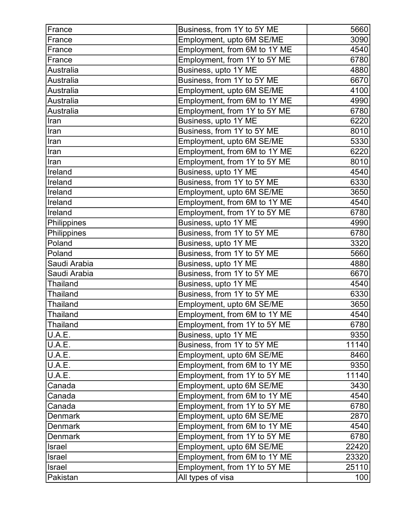| France           | Business, from 1Y to 5Y ME   | 5660  |
|------------------|------------------------------|-------|
| France           | Employment, upto 6M SE/ME    | 3090  |
| France           | Employment, from 6M to 1Y ME | 4540  |
| France           | Employment, from 1Y to 5Y ME | 6780  |
| <b>Australia</b> | Business, upto 1Y ME         | 4880  |
| Australia        | Business, from 1Y to 5Y ME   | 6670  |
| <b>Australia</b> | Employment, upto 6M SE/ME    | 4100  |
| Australia        | Employment, from 6M to 1Y ME | 4990  |
| Australia        | Employment, from 1Y to 5Y ME | 6780  |
| Iran             | Business, upto 1Y ME         | 6220  |
| Iran             | Business, from 1Y to 5Y ME   | 8010  |
| Iran             | Employment, upto 6M SE/ME    | 5330  |
| Iran             | Employment, from 6M to 1Y ME | 6220  |
| Iran             | Employment, from 1Y to 5Y ME | 8010  |
| Ireland          | Business, upto 1Y ME         | 4540  |
| Ireland          | Business, from 1Y to 5Y ME   | 6330  |
| Ireland          | Employment, upto 6M SE/ME    | 3650  |
| Ireland          | Employment, from 6M to 1Y ME | 4540  |
| Ireland          | Employment, from 1Y to 5Y ME | 6780  |
| Philippines      | Business, upto 1Y ME         | 4990  |
| Philippines      | Business, from 1Y to 5Y ME   | 6780  |
| Poland           | Business, upto 1Y ME         | 3320  |
| Poland           | Business, from 1Y to 5Y ME   | 5660  |
| Saudi Arabia     | Business, upto 1Y ME         | 4880  |
| Saudi Arabia     | Business, from 1Y to 5Y ME   | 6670  |
| <b>Thailand</b>  | Business, upto 1Y ME         | 4540  |
| <b>Thailand</b>  | Business, from 1Y to 5Y ME   | 6330  |
| <b>Thailand</b>  | Employment, upto 6M SE/ME    | 3650  |
| <b>Thailand</b>  | Employment, from 6M to 1Y ME | 4540  |
| Thailand         | Employment, from 1Y to 5Y ME | 6780  |
| U.A.E.           | Business, upto 1Y ME         | 9350  |
| U.A.E.           | Business, from 1Y to 5Y ME   | 11140 |
| U.A.E.           | Employment, upto 6M SE/ME    | 8460  |
| U.A.E.           | Employment, from 6M to 1Y ME | 9350  |
| U.A.E.           | Employment, from 1Y to 5Y ME | 11140 |
| Canada           | Employment, upto 6M SE/ME    | 3430  |
| Canada           | Employment, from 6M to 1Y ME | 4540  |
| Canada           | Employment, from 1Y to 5Y ME | 6780  |
| <b>Denmark</b>   | Employment, upto 6M SE/ME    | 2870  |
| <b>Denmark</b>   | Employment, from 6M to 1Y ME | 4540  |
| <b>Denmark</b>   | Employment, from 1Y to 5Y ME | 6780  |
| Israel           | Employment, upto 6M SE/ME    | 22420 |
| <b>Israel</b>    | Employment, from 6M to 1Y ME | 23320 |
| <b>Israel</b>    | Employment, from 1Y to 5Y ME | 25110 |
| Pakistan         | All types of visa            | 100   |